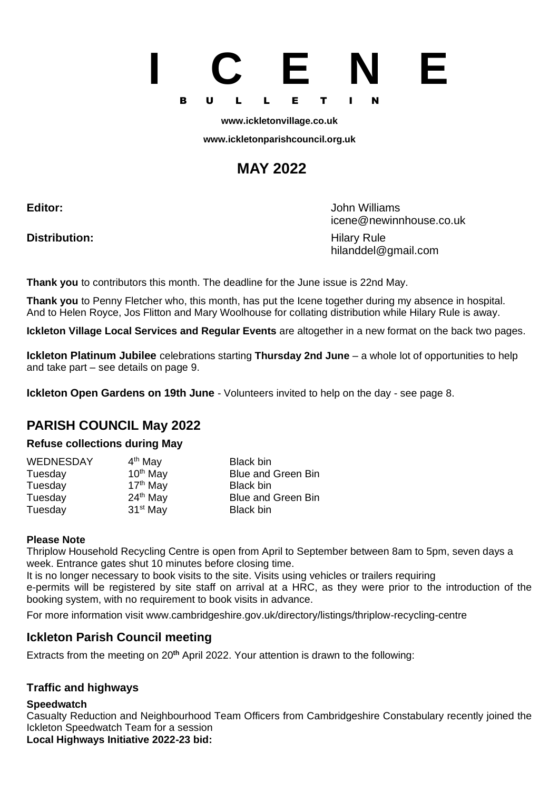# **I C E N E** B U L L E T I N

**[www.ickletonvillage.co.uk](http://www.ickletonvillage.co.uk/)**

**[www.ickletonparishcouncil.org.uk](http://www.ickletonparishcouncil.org.uk/)**

## **MAY 2022**

**Distribution:** Hilary Rule

**Editor:** John Williams [icene@newinnhouse.co.uk](mailto:Monica.lilley2@btopenworld.com) hilanddel@gmail.com

**Thank you** to contributors this month. The deadline for the June issue is 22nd May.

**Thank you** to Penny Fletcher who, this month, has put the Icene together during my absence in hospital. And to Helen Royce, Jos Flitton and Mary Woolhouse for collating distribution while Hilary Rule is away.

**Ickleton Village Local Services and Regular Events** are altogether in a new format on the back two pages.

**Ickleton Platinum Jubilee** celebrations starting **Thursday 2nd June** – a whole lot of opportunities to help and take part – see details on page 9.

**Ickleton Open Gardens on 19th June** - Volunteers invited to help on the day - see page 8.

### **PARISH COUNCIL May 2022**

#### **Refuse collections during May**

| <b>WEDNESDAY</b> | 4 <sup>th</sup> May  | <b>Black bin</b>          |
|------------------|----------------------|---------------------------|
| Tuesday          | $10th$ May           | <b>Blue and Green Bin</b> |
| Tuesday          | $17th$ May           | <b>Black bin</b>          |
| Tuesday          | $24th$ May           | <b>Blue and Green Bin</b> |
| Tuesday          | 31 <sup>st</sup> May | <b>Black bin</b>          |

#### **Please Note**

Thriplow Household Recycling Centre is open from April to September between 8am to 5pm, seven days a week. Entrance gates shut 10 minutes before closing time.

It is no longer necessary to book visits to the site. Visits using vehicles or trailers requiring e-permits will be registered by site staff on arrival at a HRC, as they were prior to the introduction of the booking system, with no requirement to book visits in advance.

For more information visit [www.cambridgeshire.gov.uk/directory/listings/thriplow-recycling-centre](http://www.cambridgeshire.gov.uk/directory/listings/thriplow-recycling-centre)

#### **Ickleton Parish Council meeting**

Extracts from the meeting on 20**th** April 2022. Your attention is drawn to the following:

#### **Traffic and highways**

#### **Speedwatch**

Casualty Reduction and Neighbourhood Team Officers from Cambridgeshire Constabulary recently joined the Ickleton Speedwatch Team for a session

**Local Highways Initiative 2022-23 bid:**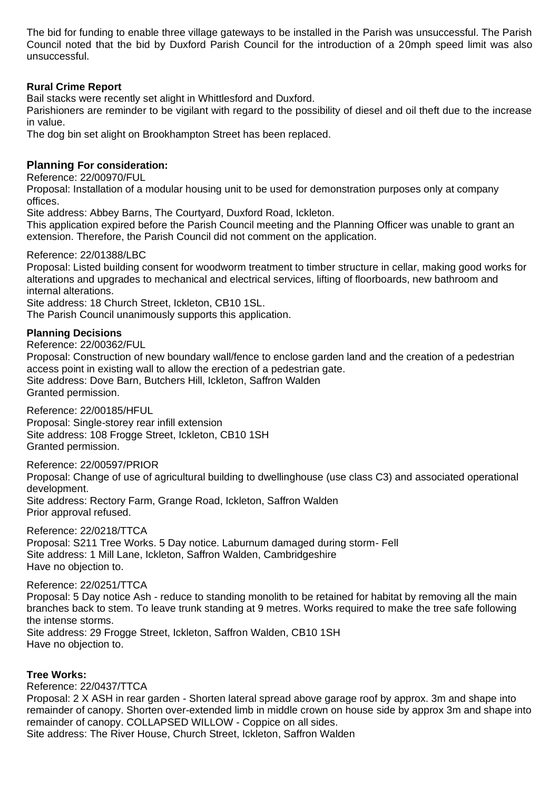The bid for funding to enable three village gateways to be installed in the Parish was unsuccessful. The Parish Council noted that the bid by Duxford Parish Council for the introduction of a 20mph speed limit was also unsuccessful.

#### **Rural Crime Report**

Bail stacks were recently set alight in Whittlesford and Duxford.

Parishioners are reminder to be vigilant with regard to the possibility of diesel and oil theft due to the increase in value.

The dog bin set alight on Brookhampton Street has been replaced.

#### **Planning For consideration:**

Reference: 22/00970/FUL

Proposal: Installation of a modular housing unit to be used for demonstration purposes only at company offices.

Site address: Abbey Barns, The Courtyard, Duxford Road, Ickleton.

This application expired before the Parish Council meeting and the Planning Officer was unable to grant an extension. Therefore, the Parish Council did not comment on the application.

#### Reference: 22/01388/LBC

Proposal: Listed building consent for woodworm treatment to timber structure in cellar, making good works for alterations and upgrades to mechanical and electrical services, lifting of floorboards, new bathroom and internal alterations.

Site address: 18 Church Street, Ickleton, CB10 1SL.

The Parish Council unanimously supports this application.

#### **Planning Decisions**

Reference: 22/00362/FUL

Proposal: Construction of new boundary wall/fence to enclose garden land and the creation of a pedestrian access point in existing wall to allow the erection of a pedestrian gate. Site address: Dove Barn, Butchers Hill, Ickleton, Saffron Walden Granted permission.

Reference: 22/00185/HFUL

Proposal: Single-storey rear infill extension Site address: 108 Frogge Street, Ickleton, CB10 1SH Granted permission.

Reference: 22/00597/PRIOR

Proposal: Change of use of agricultural building to dwellinghouse (use class C3) and associated operational development. Site address: Rectory Farm, Grange Road, Ickleton, Saffron Walden Prior approval refused.

Reference: 22/0218/TTCA

Proposal: S211 Tree Works. 5 Day notice. Laburnum damaged during storm- Fell Site address: 1 Mill Lane, Ickleton, Saffron Walden, Cambridgeshire Have no objection to.

#### Reference: 22/0251/TTCA

Proposal: 5 Day notice Ash - reduce to standing monolith to be retained for habitat by removing all the main branches back to stem. To leave trunk standing at 9 metres. Works required to make the tree safe following the intense storms. Site address: 29 Frogge Street, Ickleton, Saffron Walden, CB10 1SH Have no objection to.

#### **Tree Works:**

Reference: 22/0437/TTCA Proposal: 2 X ASH in rear garden - Shorten lateral spread above garage roof by approx. 3m and shape into remainder of canopy. Shorten over-extended limb in middle crown on house side by approx 3m and shape into remainder of canopy. COLLAPSED WILLOW - Coppice on all sides. Site address: The River House, Church Street, Ickleton, Saffron Walden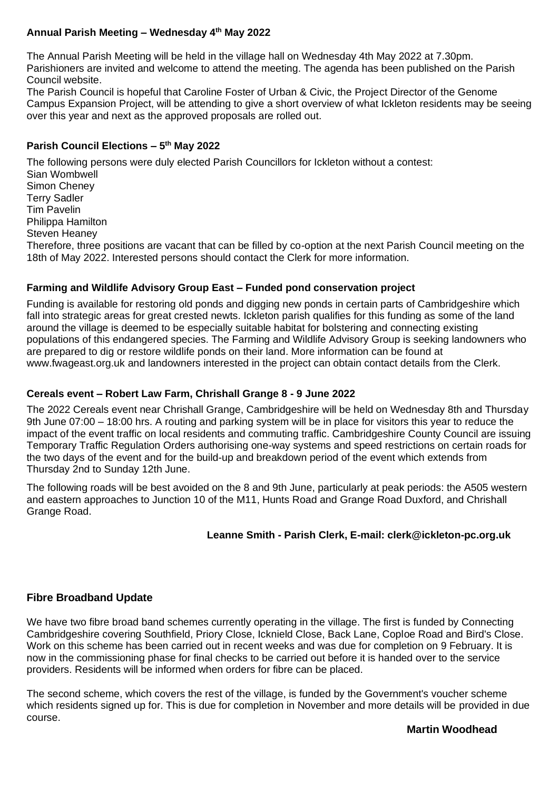#### **Annual Parish Meeting – Wednesday 4th May 2022**

The Annual Parish Meeting will be held in the village hall on Wednesday 4th May 2022 at 7.30pm. Parishioners are invited and welcome to attend the meeting. The agenda has been published on the Parish Council website.

The Parish Council is hopeful that Caroline Foster of Urban & Civic, the Project Director of the Genome Campus Expansion Project, will be attending to give a short overview of what Ickleton residents may be seeing over this year and next as the approved proposals are rolled out.

#### **Parish Council Elections – 5 th May 2022**

The following persons were duly elected Parish Councillors for Ickleton without a contest: Sian Wombwell Simon Cheney Terry Sadler Tim Pavelin Philippa Hamilton Steven Heaney Therefore, three positions are vacant that can be filled by co-option at the next Parish Council meeting on the 18th of May 2022. Interested persons should contact the Clerk for more information.

#### **Farming and Wildlife Advisory Group East – Funded pond conservation project**

Funding is available for restoring old ponds and digging new ponds in certain parts of Cambridgeshire which fall into strategic areas for great crested newts. Ickleton parish qualifies for this funding as some of the land around the village is deemed to be especially suitable habitat for bolstering and connecting existing populations of this endangered species. The Farming and Wildlife Advisory Group is seeking landowners who are prepared to dig or restore wildlife ponds on their land. More information can be found at [www.fwageast.org.uk](http://www.fwageast.org.uk/) and landowners interested in the project can obtain contact details from the Clerk.

#### **Cereals event – Robert Law Farm, Chrishall Grange 8 - 9 June 2022**

The 2022 Cereals event near Chrishall Grange, Cambridgeshire will be held on Wednesday 8th and Thursday 9th June 07:00 – 18:00 hrs. A routing and parking system will be in place for visitors this year to reduce the impact of the event traffic on local residents and commuting traffic. Cambridgeshire County Council are issuing Temporary Traffic Regulation Orders authorising one-way systems and speed restrictions on certain roads for the two days of the event and for the build-up and breakdown period of the event which extends from Thursday 2nd to Sunday 12th June.

The following roads will be best avoided on the 8 and 9th June, particularly at peak periods: the A505 western and eastern approaches to Junction 10 of the M11, Hunts Road and Grange Road Duxford, and Chrishall Grange Road.

#### **Leanne Smith - Parish Clerk, E-mail: [clerk@ickleton-pc.org.uk](mailto:clerk@ickleton-pc.org.uk)**

#### **Fibre Broadband Update**

We have two fibre broad band schemes currently operating in the village. The first is funded by Connecting Cambridgeshire covering Southfield, Priory Close, Icknield Close, Back Lane, Coploe Road and Bird's Close. Work on this scheme has been carried out in recent weeks and was due for completion on 9 February. It is now in the commissioning phase for final checks to be carried out before it is handed over to the service providers. Residents will be informed when orders for fibre can be placed.

The second scheme, which covers the rest of the village, is funded by the Government's voucher scheme which residents signed up for. This is due for completion in November and more details will be provided in due course.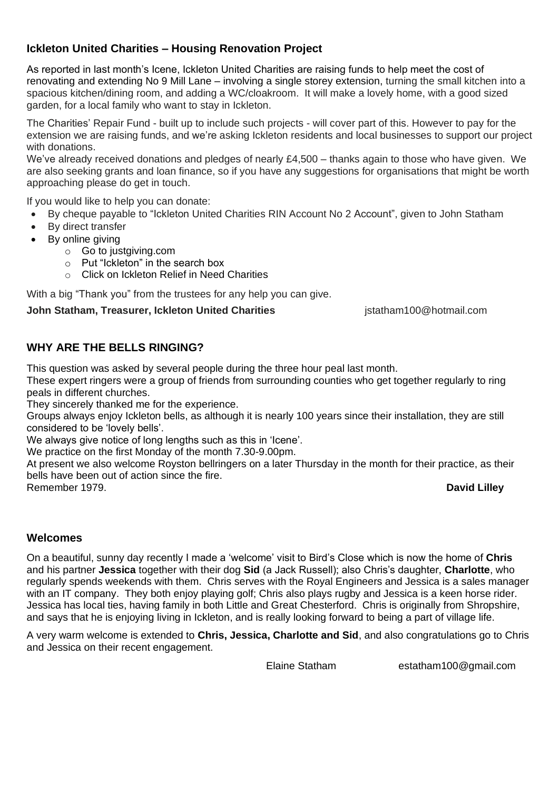#### **Ickleton United Charities – Housing Renovation Project**

As reported in last month's Icene, Ickleton United Charities are raising funds to help meet the cost of renovating and extending No 9 Mill Lane – involving a single storey extension, turning the small kitchen into a spacious kitchen/dining room, and adding a WC/cloakroom. It will make a lovely home, with a good sized garden, for a local family who want to stay in Ickleton.

The Charities' Repair Fund - built up to include such projects - will cover part of this. However to pay for the extension we are raising funds, and we're asking Ickleton residents and local businesses to support our project with donations.

We've already received donations and pledges of nearly £4,500 – thanks again to those who have given. We are also seeking grants and loan finance, so if you have any suggestions for organisations that might be worth approaching please do get in touch.

If you would like to help you can donate:

- By cheque payable to "Ickleton United Charities RIN Account No 2 Account", given to John Statham
- By direct transfer
- By online giving
	- o Go to justgiving.com
	- o Put "Ickleton" in the search box
	- o Click on Ickleton Relief in Need Charities

With a big "Thank you" from the trustees for any help you can give.

#### **John Statham, Treasurer, Ickleton United Charities interpretate in the statham100@hotmail.com**

#### **WHY ARE THE BELLS RINGING?**

This question was asked by several people during the three hour peal last month.

These expert ringers were a group of friends from surrounding counties who get together regularly to ring peals in different churches.

They sincerely thanked me for the experience.

Groups always enjoy Ickleton bells, as although it is nearly 100 years since their installation, they are still considered to be 'lovely bells'.

We always give notice of long lengths such as this in 'Icene'.

We practice on the first Monday of the month 7.30-9.00pm.

At present we also welcome Royston bellringers on a later Thursday in the month for their practice, as their bells have been out of action since the fire.

Remember 1979. **David Lilley**

#### **Welcomes**

On a beautiful, sunny day recently I made a 'welcome' visit to Bird's Close which is now the home of **Chris** and his partner **Jessica** together with their dog **Sid** (a Jack Russell); also Chris's daughter, **Charlotte**, who regularly spends weekends with them. Chris serves with the Royal Engineers and Jessica is a sales manager with an IT company. They both enjoy playing golf; Chris also plays rugby and Jessica is a keen horse rider. Jessica has local ties, having family in both Little and Great Chesterford. Chris is originally from Shropshire, and says that he is enjoying living in Ickleton, and is really looking forward to being a part of village life.

A very warm welcome is extended to **Chris, Jessica, Charlotte and Sid**, and also congratulations go to Chris and Jessica on their recent engagement.

Elaine Statham [estatham100@gmail.com](mailto:estatham100@gmail.com)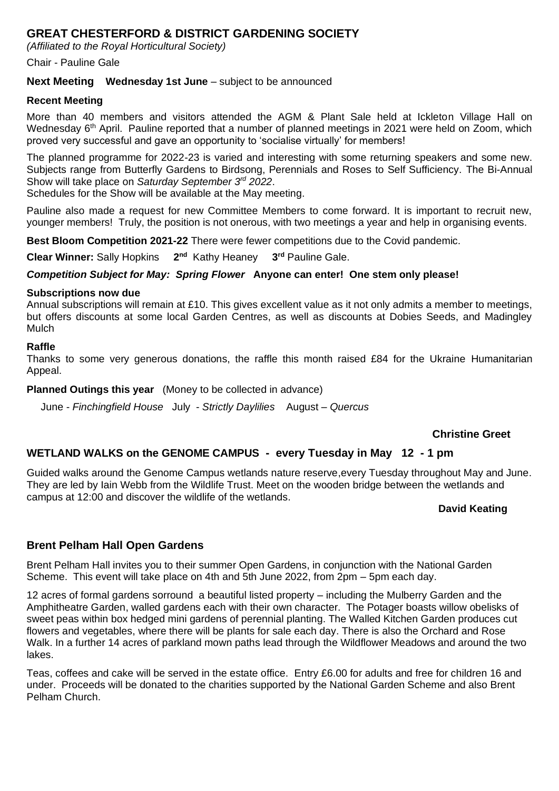#### **GREAT CHESTERFORD & DISTRICT GARDENING SOCIETY**

*(Affiliated to the Royal Horticultural Society)*

#### Chair - Pauline Gale

#### **Next Meeting Wednesday 1st June** – subject to be announced

#### **Recent Meeting**

More than 40 members and visitors attended the AGM & Plant Sale held at Ickleton Village Hall on Wednesday 6<sup>th</sup> April. Pauline reported that a number of planned meetings in 2021 were held on Zoom, which proved very successful and gave an opportunity to 'socialise virtually' for members!

The planned programme for 2022-23 is varied and interesting with some returning speakers and some new. Subjects range from Butterfly Gardens to Birdsong, Perennials and Roses to Self Sufficiency. The Bi-Annual Show will take place on *Saturday September 3rd 2022*.

Schedules for the Show will be available at the May meeting.

Pauline also made a request for new Committee Members to come forward. It is important to recruit new, younger members! Truly, the position is not onerous, with two meetings a year and help in organising events.

**Best Bloom Competition 2021-22** There were fewer competitions due to the Covid pandemic.

**Clear Winner:** Sally Hopkins **2 2<sup>nd</sup>** Kathy Heaney 3<sup>rd</sup> Pauline Gale.

#### *Competition Subject for May: Spring Flower* **Anyone can enter! One stem only please!**

#### **Subscriptions now due**

Annual subscriptions will remain at £10. This gives excellent value as it not only admits a member to meetings, but offers discounts at some local Garden Centres, as well as discounts at Dobies Seeds, and Madingley **Mulch** 

#### **Raffle**

Thanks to some very generous donations, the raffle this month raised £84 for the Ukraine Humanitarian Appeal.

**Planned Outings this year** (Money to be collected in advance)

June - *Finchingfield House* July - *Strictly Daylilies* August – *Quercus*

#### **Christine Greet**

#### **WETLAND WALKS on the GENOME CAMPUS - every Tuesday in May 12 - 1 pm**

Guided walks around the Genome Campus wetlands nature reserve,every Tuesday throughout May and June. They are led by Iain Webb from the Wildlife Trust. Meet on the wooden bridge between the wetlands and campus at 12:00 and discover the wildlife of the wetlands.

#### **David Keating**

#### **Brent Pelham Hall Open Gardens**

Brent Pelham Hall invites you to their summer Open Gardens, in conjunction with the National Garden Scheme. This event will take place on 4th and 5th June 2022, from 2pm – 5pm each day.

12 acres of formal gardens sorround a beautiful listed property – including the Mulberry Garden and the Amphitheatre Garden, walled gardens each with their own character. The Potager boasts willow obelisks of sweet peas within box hedged mini gardens of perennial planting. The Walled Kitchen Garden produces cut flowers and vegetables, where there will be plants for sale each day. There is also the Orchard and Rose Walk. In a further 14 acres of parkland mown paths lead through the Wildflower Meadows and around the two lakes.

Teas, coffees and cake will be served in the estate office. Entry £6.00 for adults and free for children 16 and under. Proceeds will be donated to the charities supported by the National Garden Scheme and also Brent Pelham Church.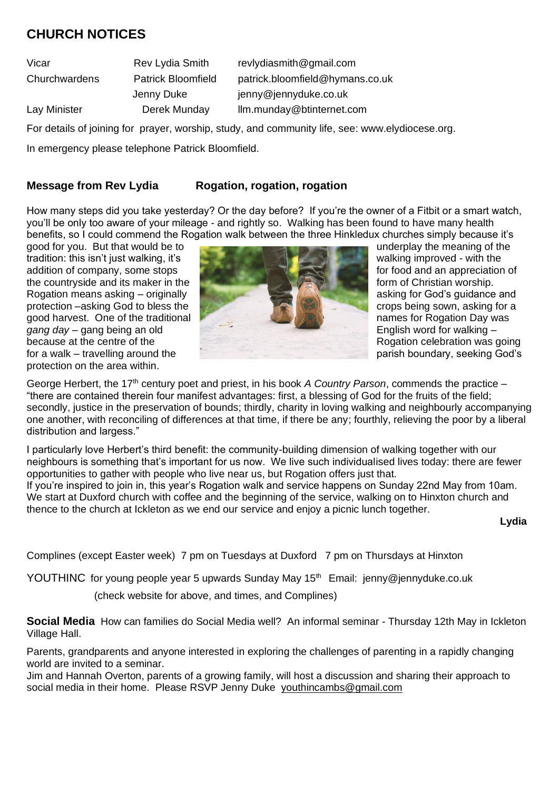### **CHURCH NOTICES**

Vicar Rev Lydia Smith [revlydiasmith@gmail.com](mailto:revlydiasmith@gmail.com)

Churchwardens Patrick Bloomfield [patrick.bloomfield@hymans.](mailto:atrick.bloomfield@hymans)co.uk Jenny Duke [jenny@jennyduke.co.uk](mailto:jenny@jennyduke.co.uk)

Lay Minister **Derek Munday** llm.munday@btinternet.com

For details of joining for prayer, worship, study, and community life, see: [www.elydiocese.org.](http://www.elydiocese.org/)

In emergency please telephone Patrick Bloomfield.

#### **Message from Rev Lydia Rogation, rogation, rogation**

How many steps did you take yesterday? Or the day before? If you're the owner of a Fitbit or a smart watch, you'll be only too aware of your mileage - and rightly so. Walking has been found to have many health benefits, so I could commend the Rogation walk between the three Hinkledux churches simply because it's

tradition: this isn't just walking, it's protection on the area within.



George Herbert, the 17<sup>th</sup> century poet and priest, in his book *A Country Parson*, commends the practice – "there are contained therein four manifest advantages: first, a blessing of God for the fruits of the field; secondly, justice in the preservation of bounds; thirdly, charity in loving walking and neighbourly accompanying one another, with reconciling of differences at that time, if there be any; fourthly, relieving the poor by a liberal distribution and largess."

I particularly love Herbert's third benefit: the community-building dimension of walking together with our neighbours is something that's important for us now. We live such individualised lives today: there are fewer opportunities to gather with people who live near us, but Rogation offers just that.

If you're inspired to join in, this year's Rogation walk and service happens on Sunday 22nd May from 10am. We start at Duxford church with coffee and the beginning of the service, walking on to Hinxton church and thence to the church at Ickleton as we end our service and enjoy a picnic lunch together.

 **Lydia**

Complines (except Easter week) 7 pm on Tuesdays at Duxford 7 pm on Thursdays at Hinxton

YOUTHINC for young people year 5 upwards Sunday May 15<sup>th</sup> Email: [jenny@jennyduke.co.uk](mailto:jenny@jennyduke.co.uk)

(check website for above, and times, and Complines)

**Social Media** How can families do Social Media well? An informal seminar - Thursday 12th May in Ickleton Village Hall.

Parents, grandparents and anyone interested in exploring the challenges of parenting in a rapidly changing world are invited to a seminar.

Jim and Hannah Overton, parents of a growing family, will host a discussion and sharing their approach to social media in their home. Please RSVP Jenny Duke [youthincambs@gmail.com](mailto:youthincambs@gmail.com)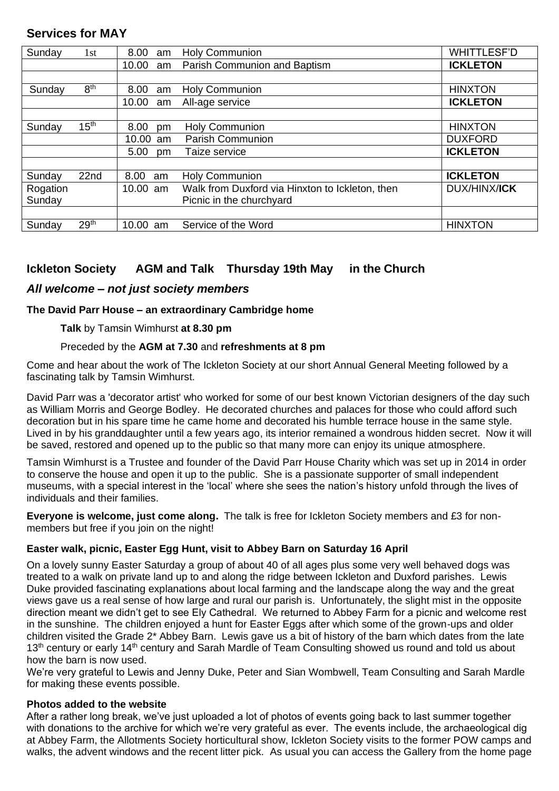| Sunday   | 1st                         | 8.00<br>am  | <b>Holy Communion</b>                           | <b>WHITTLESF'D</b>  |
|----------|-----------------------------|-------------|-------------------------------------------------|---------------------|
|          |                             | 10.00<br>am | Parish Communion and Baptism                    | <b>ICKLETON</b>     |
|          |                             |             |                                                 |                     |
| Sunday   | 8 <sup>th</sup>             | 8.00<br>am  | <b>Holy Communion</b>                           | <b>HINXTON</b>      |
|          |                             | 10.00<br>am | All-age service                                 | <b>ICKLETON</b>     |
|          |                             |             |                                                 |                     |
| Sunday   | $15^{\overline{\text{th}}}$ | 8.00<br>pm  | Holy Communion                                  | <b>HINXTON</b>      |
|          |                             | 10.00<br>am | <b>Parish Communion</b>                         | <b>DUXFORD</b>      |
|          |                             | 5.00<br>pm  | Taize service                                   | <b>ICKLETON</b>     |
|          |                             |             |                                                 |                     |
| Sunday   | 22nd                        | 8.00<br>am  | <b>Holy Communion</b>                           | <b>ICKLETON</b>     |
| Rogation |                             | 10.00 am    | Walk from Duxford via Hinxton to Ickleton, then | <b>DUX/HINX/ICK</b> |
| Sunday   |                             |             | Picnic in the churchyard                        |                     |
|          |                             |             |                                                 |                     |
| Sunday   | 29 <sup>th</sup>            | 10.00<br>am | Service of the Word                             | <b>HINXTON</b>      |
|          |                             |             |                                                 |                     |

#### **Services for MAY**

#### **Ickleton Society AGM and Talk Thursday 19th May in the Church**

#### *All welcome – not just society members*

#### **The David Parr House – an extraordinary Cambridge home**

#### **Talk** by Tamsin Wimhurst **at 8.30 pm**

#### Preceded by the **AGM at 7.30** and **refreshments at 8 pm**

Come and hear about the work of The Ickleton Society at our short Annual General Meeting followed by a fascinating talk by Tamsin Wimhurst.

David Parr was a 'decorator artist' who worked for some of our best known Victorian designers of the day such as William Morris and George Bodley. He decorated churches and palaces for those who could afford such decoration but in his spare time he came home and decorated his humble terrace house in the same style. Lived in by his granddaughter until a few years ago, its interior remained a wondrous hidden secret. Now it will be saved, restored and opened up to the public so that many more can enjoy its unique atmosphere.

Tamsin Wimhurst is a Trustee and founder of the David Parr House Charity which was set up in 2014 in order to conserve the house and open it up to the public. She is a passionate supporter of small independent museums, with a special interest in the 'local' where she sees the nation's history unfold through the lives of individuals and their families.

**Everyone is welcome, just come along.** The talk is free for Ickleton Society members and £3 for nonmembers but free if you join on the night!

#### **Easter walk, picnic, Easter Egg Hunt, visit to Abbey Barn on Saturday 16 April**

On a lovely sunny Easter Saturday a group of about 40 of all ages plus some very well behaved dogs was treated to a walk on private land up to and along the ridge between Ickleton and Duxford parishes. Lewis Duke provided fascinating explanations about local farming and the landscape along the way and the great views gave us a real sense of how large and rural our parish is. Unfortunately, the slight mist in the opposite direction meant we didn't get to see Ely Cathedral. We returned to Abbey Farm for a picnic and welcome rest in the sunshine. The children enjoyed a hunt for Easter Eggs after which some of the grown-ups and older children visited the Grade 2\* Abbey Barn. Lewis gave us a bit of history of the barn which dates from the late 13<sup>th</sup> century or early 14<sup>th</sup> century and Sarah Mardle of Team Consulting showed us round and told us about how the barn is now used.

We're very grateful to Lewis and Jenny Duke, Peter and Sian Wombwell, Team Consulting and Sarah Mardle for making these events possible.

#### **Photos added to the website**

After a rather long break, we've just uploaded a lot of photos of events going back to last summer together with donations to the archive for which we're very grateful as ever. The events include, the archaeological dig at Abbey Farm, the Allotments Society horticultural show, Ickleton Society visits to the former POW camps and walks, the advent windows and the recent litter pick. As usual you can access the Gallery from the home page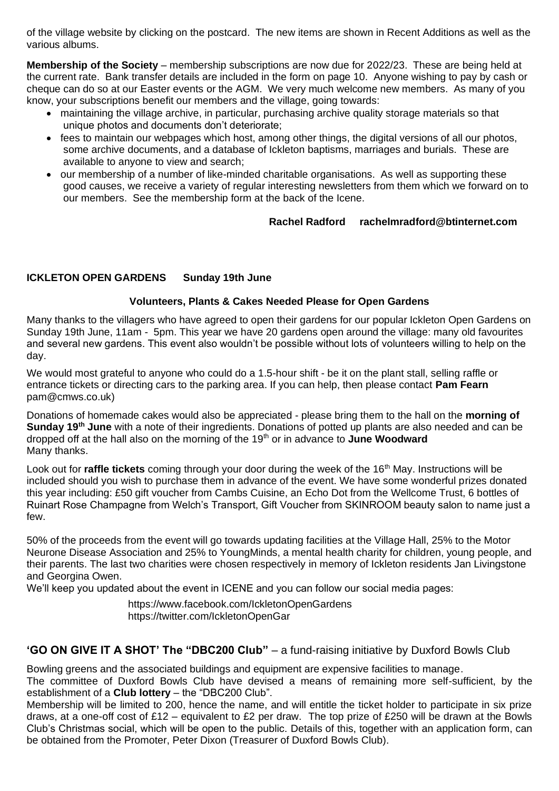of the village website by clicking on the postcard. The new items are shown in Recent Additions as well as the various albums.

**Membership of the Society** – membership subscriptions are now due for 2022/23. These are being held at the current rate. Bank transfer details are included in the form on page 10. Anyone wishing to pay by cash or cheque can do so at our Easter events or the AGM. We very much welcome new members. As many of you know, your subscriptions benefit our members and the village, going towards:

- maintaining the village archive, in particular, purchasing archive quality storage materials so that unique photos and documents don't deteriorate;
- fees to maintain our webpages which host, among other things, the digital versions of all our photos, some archive documents, and a database of Ickleton baptisms, marriages and burials. These are available to anyone to view and search;
- our membership of a number of like-minded charitable organisations. As well as supporting these good causes, we receive a variety of regular interesting newsletters from them which we forward on to our members. See the membership form at the back of the Icene.

#### **Rachel Radford rachelmradford@btinternet.com**

#### **ICKLETON OPEN GARDENS Sunday 19th June**

#### **Volunteers, Plants & Cakes Needed Please for Open Gardens**

Many thanks to the villagers who have agreed to open their gardens for our popular Ickleton Open Gardens on Sunday 19th June, 11am - 5pm. This year we have 20 gardens open around the village: many old favourites and several new gardens. This event also wouldn't be possible without lots of volunteers willing to help on the day.

We would most grateful to anyone who could do a 1.5-hour shift - be it on the plant stall, selling raffle or entrance tickets or directing cars to the parking area. If you can help, then please contact **Pam Fearn** pam@cmws.co.uk)

Donations of homemade cakes would also be appreciated - please bring them to the hall on the **morning of Sunday 19th June** with a note of their ingredients. Donations of potted up plants are also needed and can be dropped off at the hall also on the morning of the 19th or in advance to **June Woodward** Many thanks.

Look out for **raffle tickets** coming through your door during the week of the 16<sup>th</sup> May. Instructions will be included should you wish to purchase them in advance of the event. We have some wonderful prizes donated this year including: £50 gift voucher from Cambs Cuisine, an Echo Dot from the Wellcome Trust, 6 bottles of Ruinart Rose Champagne from Welch's Transport, Gift Voucher from SKINROOM beauty salon to name just a few.

50% of the proceeds from the event will go towards updating facilities at the Village Hall, 25% to the Motor Neurone Disease Association and 25% to YoungMinds, a mental health charity for children, young people, and their parents. The last two charities were chosen respectively in memory of Ickleton residents Jan Livingstone and Georgina Owen.

We'll keep you updated about the event in ICENE and you can follow our social media pages:

<https://www.facebook.com/IckletonOpenGardens> https://twitter.com/IckletonOpenGar

#### **'GO ON GIVE IT A SHOT' The "DBC200 Club"** – a fund-raising initiative by Duxford Bowls Club

Bowling greens and the associated buildings and equipment are expensive facilities to manage.

The committee of Duxford Bowls Club have devised a means of remaining more self-sufficient, by the establishment of a **Club lottery** – the "DBC200 Club".

Membership will be limited to 200, hence the name, and will entitle the ticket holder to participate in six prize draws, at a one-off cost of £12 – equivalent to £2 per draw. The top prize of £250 will be drawn at the Bowls Club's Christmas social, which will be open to the public. Details of this, together with an application form, can be obtained from the Promoter, Peter Dixon (Treasurer of Duxford Bowls Club).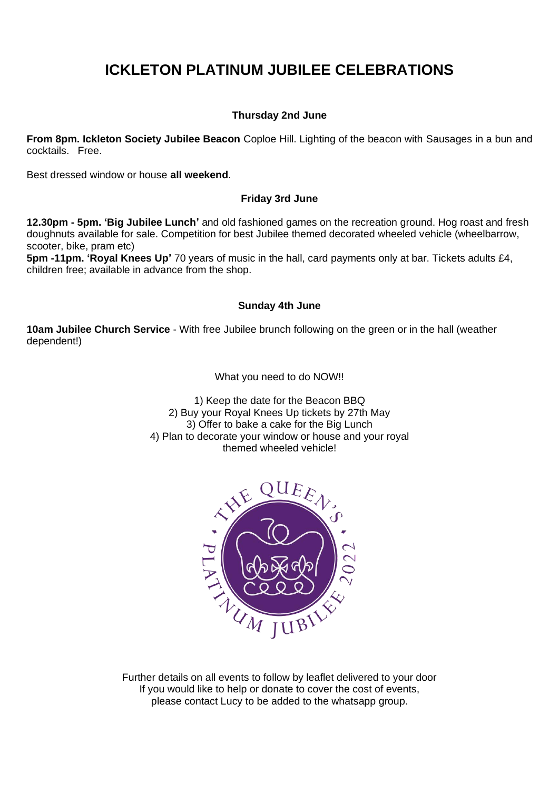### **ICKLETON PLATINUM JUBILEE CELEBRATIONS**

#### **Thursday 2nd June**

**From 8pm. Ickleton Society Jubilee Beacon** Coploe Hill. Lighting of the beacon with Sausages in a bun and cocktails. Free.

Best dressed window or house **all weekend**.

#### **Friday 3rd June**

**12.30pm - 5pm. 'Big Jubilee Lunch'** and old fashioned games on the recreation ground. Hog roast and fresh doughnuts available for sale. Competition for best Jubilee themed decorated wheeled vehicle (wheelbarrow, scooter, bike, pram etc)

**5pm -11pm. 'Royal Knees Up'** 70 years of music in the hall, card payments only at bar. Tickets adults £4, children free; available in advance from the shop.

#### **Sunday 4th June**

**10am Jubilee Church Service** - With free Jubilee brunch following on the green or in the hall (weather dependent!)

What you need to do NOW!!

1) Keep the date for the Beacon BBQ 2) Buy your Royal Knees Up tickets by 27th May 3) Offer to bake a cake for the Big Lunch 4) Plan to decorate your window or house and your royal themed wheeled vehicle!



Further details on all events to follow by leaflet delivered to your door If you would like to help or donate to cover the cost of events, please contact Lucy to be added to the whatsapp group.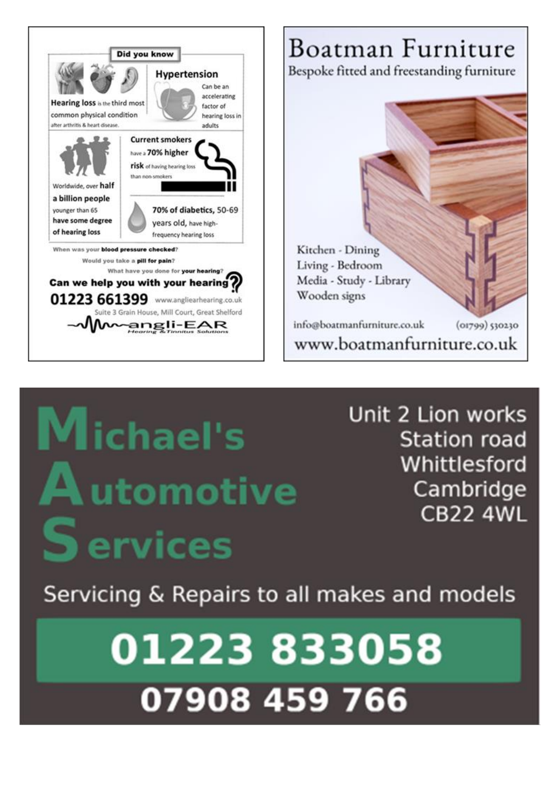



# **Michael's** utomotive ervices

Unit 2 Lion works **Station road** Whittlesford Cambridge **CB22 4WL** 

Servicing & Repairs to all makes and models

# 01223833058 07908 459 766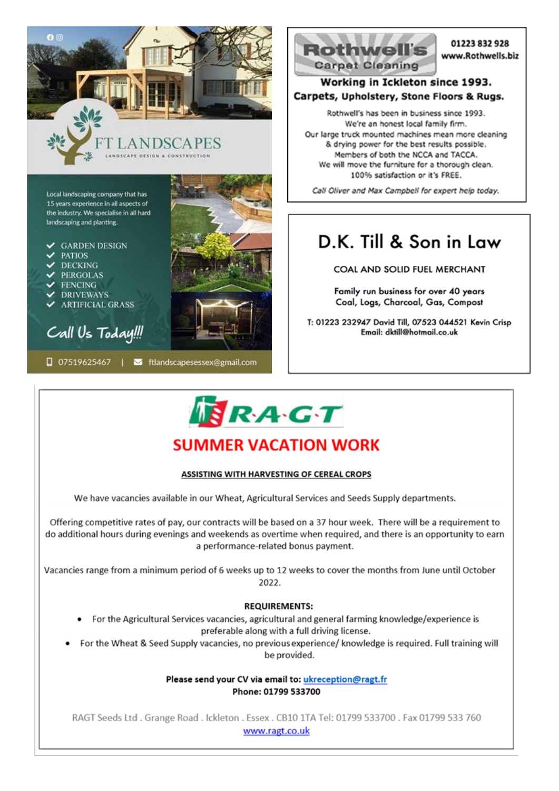

Local landscaping company that has 15 years experience in all aspects of the industry. We specialise in all hard landscaping and planting.

 $\checkmark$  GARDEN DESIGN

- PATIOS
- $\textrm{V}$  DECKING
- **PERGOLAS**
- **FENCING**
- **DRIVEWAYS**
- **ARTIFICIAL GRASS**

# Call Us Today!!!





#### 01223832928 www.Rothwells.biz

#### Working in Ickleton since 1993. Carpets, Upholstery, Stone Floors & Rugs.

Rothwell's has been in business since 1993. We're an honest local family firm. Our large truck mounted machines mean more cleaning & drying power for the best results possible. Members of both the NCCA and TACCA. We will move the furniture for a thorough clean. 100% satisfaction or it's FREE.

Call Oliver and Max Campbell for expert help today.

# D.K. Till & Son in Law

**COAL AND SOLID FUEL MERCHANT** 

Family run business for over 40 years Coal, Logs, Charcoal, Gas, Compost

T: 01223 232947 David Till, 07523 044521 Kevin Crisp Email: dktill@hotmail.co.uk

# $R_A G T$

# **SUMMER VACATION WORK**

#### **ASSISTING WITH HARVESTING OF CEREAL CROPS**

We have vacancies available in our Wheat, Agricultural Services and Seeds Supply departments.

Offering competitive rates of pay, our contracts will be based on a 37 hour week. There will be a requirement to do additional hours during evenings and weekends as overtime when required, and there is an opportunity to earn a performance-related bonus payment.

Vacancies range from a minimum period of 6 weeks up to 12 weeks to cover the months from June until October 2022.

#### **REQUIREMENTS:**

- For the Agricultural Services vacancies, agricultural and general farming knowledge/experience is preferable along with a full driving license.
- For the Wheat & Seed Supply vacancies, no previous experience/ knowledge is required. Full training will be provided.

Please send your CV via email to: ukreception@ragt.fr Phone: 01799 533700

RAGT Seeds Ltd. Grange Road. Ickleton. Essex. CB10 1TA Tel: 01799 533700. Fax 01799 533 760 www.ragt.co.uk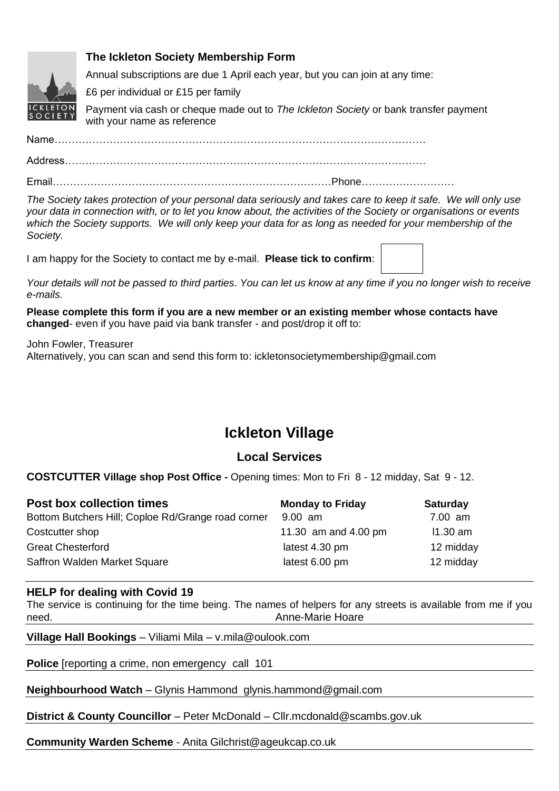

#### **The Ickleton Society Membership Form**

Annual subscriptions are due 1 April each year, but you can join at any time:

£6 per individual or £15 per family

Payment via cash or cheque made out to *The Ickleton Society* or bank transfer payment with your name as reference

Name………………………………………………………………………………………………

Address……………………………………………………………………………………………

Email………………………………………………………………………Phone………………………

*The Society takes protection of your personal data seriously and takes care to keep it safe. We will only use your data in connection with, or to let you know about, the activities of the Society or organisations or events which the Society supports. We will only keep your data for as long as needed for your membership of the Society.*

I am happy for the Society to contact me by e-mail. **Please tick to confirm**:

*Your details will not be passed to third parties. You can let us know at any time if you no longer wish to receive e-mails.*

**Please complete this form if you are a new member or an existing member whose contacts have changed**- even if you have paid via bank transfer - and post/drop it off to:

John Fowler, Treasurer Alternatively, you can scan and send this form to: [ickletonsocietymembership@gmail.com](mailto:ickletonsocietymembership@gmail.com)

# **Ickleton Village**

#### **Local Services**

**COSTCUTTER Village shop Post Office -** Opening times: Mon to Fri 8 - 12 midday, Sat 9 - 12.

| <b>Post box collection times</b>                   | <b>Monday to Friday</b> | <b>Saturday</b> |
|----------------------------------------------------|-------------------------|-----------------|
| Bottom Butchers Hill; Coploe Rd/Grange road corner | 9.00 am                 | 7.00 am         |
| Costcutter shop                                    | 11.30 am and 4.00 pm    | $11.30$ am      |
| <b>Great Chesterford</b>                           | latest 4.30 pm          | 12 midday       |
| Saffron Walden Market Square                       | latest 6.00 pm          | 12 midday       |

#### **HELP for dealing with Covid 19**

The service is continuing for the time being. The names of helpers for any streets is available from me if you need.Anne-Marie Hoare

**Village Hall Bookings** – Viliami Mila – v.mila@oulook.com

**Police** [reporting a crime, non emergency call 101

**Neighbourhood Watch** – Glynis Hammond glynis.hammond@gmail.com

**District & County Councillor** – Peter McDonald – [Cllr.mcdonald@scambs.gov.uk](mailto:Cllr.mcdonald@scambs.gov.uk)

**Community Warden Scheme** - Anita Gilchrist@ageukcap.co.uk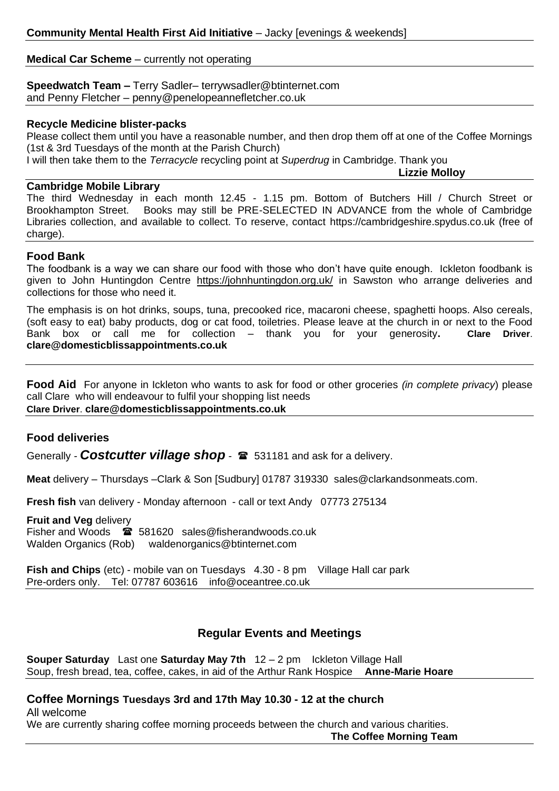#### **Medical Car Scheme** – currently not operating

#### **Speedwatch Team –** Terry Sadler– [terrywsadler@btinternet.com](mailto:terrywsadler@btinternet.com) and Penny Fletcher – penny@penelopeannefletcher.co.uk

#### **Recycle Medicine blister-packs**

Please collect them until you have a reasonable number, and then drop them off at one of the Coffee Mornings (1st & 3rd Tuesdays of the month at the Parish Church)

I will then take them to the *Terracycle* recycling point at *Superdrug* in Cambridge. Thank you

**Lizzie Molloy**

#### **Cambridge Mobile Library**

The third Wednesday in each month 12.45 - 1.15 pm. Bottom of Butchers Hill / Church Street or Brookhampton Street. Books may still be PRE-SELECTED IN ADVANCE from the whole of Cambridge Libraries collection, and available to collect. To reserve, contact [https://cambridgeshire.spydus.co.uk](https://lnks.gd/l/eyJhbGciOiJIUzI1NiJ9.eyJidWxsZXRpbl9saW5rX2lkIjoxMDEsInVyaSI6ImJwMjpjbGljayIsImJ1bGxldGluX2lkIjoiMjAyMDA5MTYuMjcxOTMxNzEiLCJ1cmwiOiJodHRwczovL2xua3MuZ2QvbC9leUpoYkdjaU9pSklVekkxTmlKOS5leUppZFd4c1pYUnBibDlzYVc1clgybGtJam94TVRjc0luVnlhU0k2SW1Kd01qcGpiR2xqYXlJc0ltSjFiR3hsZEdsdVgybGtJam9pTWpBeU1EQTVNREV1TWpZek5qZ3hOekVpTENKMWNtd2lPaUpvZEhSd2N6b3ZMMk5oYldKeWFXUm5aWE5vYVhKbExuTndlV1IxY3k1amJ5NTFheTlqWjJrdFltbHVMM053ZVdSMWN5NWxlR1V2VFZOSFZGSk9MMDlRUVVNdlNFOU5SVDlJVDAxRlVGSk5VejFIUlU1UVFWSkJUVk1tZFh) (free of charge).

#### **Food Bank**

The foodbank is a way we can share our food with those who don't have quite enough. Ickleton foodbank is given to John Huntingdon Centre <https://johnhuntingdon.org.uk/> in Sawston who arrange deliveries and collections for those who need it.

The emphasis is on hot drinks, soups, tuna, precooked rice, macaroni cheese, spaghetti hoops. Also cereals, (soft easy to eat) baby products, dog or cat food, toiletries. Please leave at the church in or next to the Food Bank box or call me for collection – thank you for your generosity**. Clare Driver**. **[clare@domesticblissappointments.co.uk](mailto:clare@domesticblissappointments.co.uk)**

**Food Aid** For anyone in Ickleton who wants to ask for food or other groceries *(in complete privacy*) please call Clare who will endeavour to fulfil your shopping list needs **Clare Driver**. **[clare@domesticblissappointments.co.uk](mailto:clare@domesticblissappointments.co.uk)**

#### **Food deliveries**

Generally **- Costcutter village shop** -  $\mathbf{\hat{z}}$  531181 and ask for a delivery.

**Meat** delivery – Thursdays –Clark & Son [Sudbury] 01787 319330 [sales@clarkandsonmeats.com.](mailto:sales@clarkandsonmeats.com)

**Fresh fish** van delivery - Monday afternoon - call or text Andy 07773 275134

#### **Fruit and Veg** delivery

Fisher and Woods 581620 [sales@fisherandwoods.co.uk](mailto:sales@fisherandwoods.co.uk) Walden Organics (Rob) [waldenorganics@btinternet.com](mailto:waldenorganics@btinternet.com)

**Fish and Chips** (etc) - mobile van on Tuesdays 4.30 - 8 pm Village Hall car park Pre-orders only. Tel: 07787 603616 [info@oceantree.co.uk](mailto:info@oceantree.co.uk)

#### **Regular Events and Meetings**

**Souper Saturday** Last one **Saturday May 7th** 12 – 2 pm Ickleton Village Hall Soup, fresh bread, tea, coffee, cakes, in aid of the Arthur Rank Hospice **Anne-Marie Hoare**

#### **Coffee Mornings Tuesdays 3rd and 17th May 10.30 - 12 at the church**

All welcome We are currently sharing coffee morning proceeds between the church and various charities.

**The Coffee Morning Team**